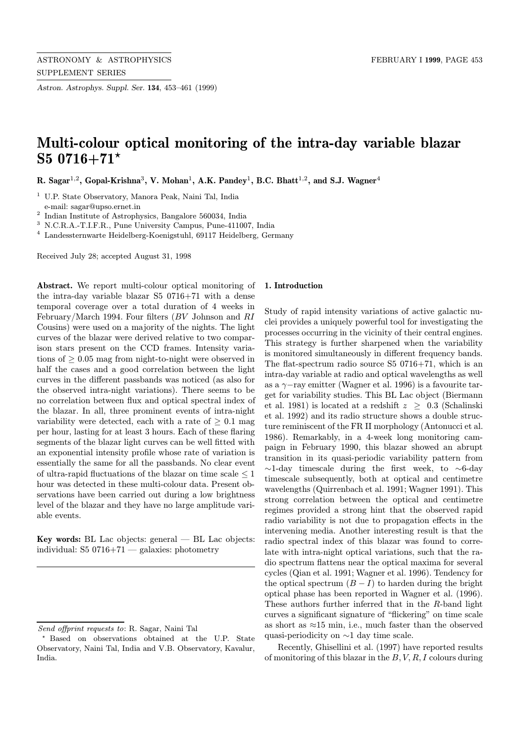Astron. Astrophys. Suppl. Ser. 134, 453–461 (1999)

# Multi-colour optical monitoring of the intra-day variable blazar S5  $0716+71*$

R. Sagar<sup>1,2</sup>, Gopal-Krishna<sup>3</sup>, V. Mohan<sup>1</sup>, A.K. Pandey<sup>1</sup>, B.C. Bhatt<sup>1,2</sup>, and S.J. Wagner<sup>4</sup>

<sup>1</sup> U.P. State Observatory, Manora Peak, Naini Tal, India e-mail: sagar@upso.ernet.in

<sup>2</sup> Indian Institute of Astrophysics, Bangalore 560034, India

<sup>3</sup> N.C.R.A.-T.I.F.R., Pune University Campus, Pune-411007, India

<sup>4</sup> Landessternwarte Heidelberg-Koenigstuhl, 69117 Heidelberg, Germany

Received July 28; accepted August 31, 1998

Abstract. We report multi-colour optical monitoring of the intra-day variable blazar S5 0716+71 with a dense temporal coverage over a total duration of 4 weeks in February/March 1994. Four filters (BV Johnson and RI Cousins) were used on a majority of the nights. The light curves of the blazar were derived relative to two comparison stars present on the CCD frames. Intensity variations of  $\geq 0.05$  mag from night-to-night were observed in half the cases and a good correlation between the light curves in the different passbands was noticed (as also for the observed intra-night variations). There seems to be no correlation between flux and optical spectral index of the blazar. In all, three prominent events of intra-night variability were detected, each with a rate of  $\geq 0.1$  mag per hour, lasting for at least 3 hours. Each of these flaring segments of the blazar light curves can be well fitted with an exponential intensity profile whose rate of variation is essentially the same for all the passbands. No clear event of ultra-rapid fluctuations of the blazar on time scale  $\leq 1$ hour was detected in these multi-colour data. Present observations have been carried out during a low brightness level of the blazar and they have no large amplitude variable events.

**Key words:** BL Lac objects: general  $-$  BL Lac objects: individual:  $S5 0716+71$  — galaxies: photometry

#### 1. Introduction

Study of rapid intensity variations of active galactic nuclei provides a uniquely powerful tool for investigating the processes occurring in the vicinity of their central engines. This strategy is further sharpened when the variability is monitored simultaneously in different frequency bands. The flat-spectrum radio source S5 0716+71, which is an intra-day variable at radio and optical wavelengths as well as a  $\gamma$ −ray emitter (Wagner et al. 1996) is a favourite target for variability studies. This BL Lac object (Biermann et al. 1981) is located at a redshift  $z \geq 0.3$  (Schalinski et al. 1992) and its radio structure shows a double structure reminiscent of the FR II morphology (Antonucci et al. 1986). Remarkably, in a 4-week long monitoring campaign in February 1990, this blazar showed an abrupt transition in its quasi-periodic variability pattern from ∼1-day timescale during the first week, to ∼6-day timescale subsequently, both at optical and centimetre wavelengths (Quirrenbach et al. 1991; Wagner 1991). This strong correlation between the optical and centimetre regimes provided a strong hint that the observed rapid radio variability is not due to propagation effects in the intervening media. Another interesting result is that the radio spectral index of this blazar was found to correlate with intra-night optical variations, such that the radio spectrum flattens near the optical maxima for several cycles (Qian et al. 1991; Wagner et al. 1996). Tendency for the optical spectrum  $(B - I)$  to harden during the bright optical phase has been reported in Wagner et al. (1996). These authors further inferred that in the R-band light curves a significant signature of "flickering" on time scale as short as  $\approx$ 15 min, i.e., much faster than the observed quasi-periodicity on ∼1 day time scale.

Recently, Ghisellini et al. (1997) have reported results of monitoring of this blazar in the  $B, V, R, I$  colours during

Send offprint requests to: R. Sagar, Naini Tal

<sup>?</sup> Based on observations obtained at the U.P. State Observatory, Naini Tal, India and V.B. Observatory, Kavalur, India.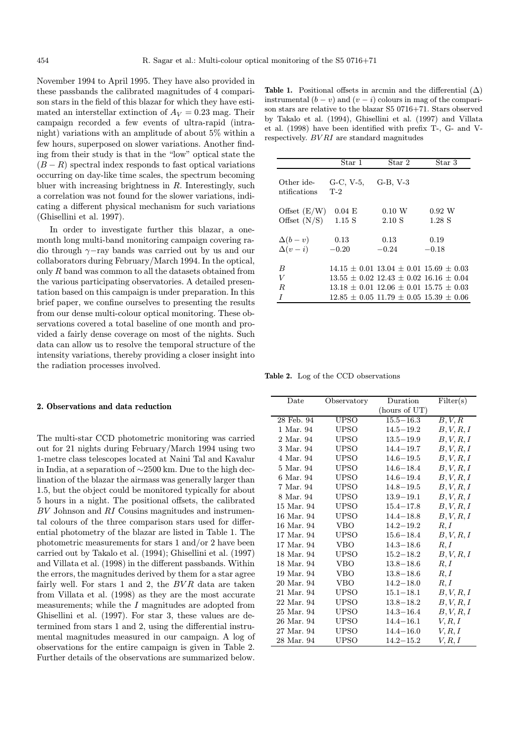November 1994 to April 1995. They have also provided in these passbands the calibrated magnitudes of 4 comparison stars in the field of this blazar for which they have estimated an interstellar extinction of  $A_V = 0.23$  mag. Their campaign recorded a few events of ultra-rapid (intranight) variations with an amplitude of about 5% within a few hours, superposed on slower variations. Another finding from their study is that in the "low" optical state the  $(B - R)$  spectral index responds to fast optical variations occurring on day-like time scales, the spectrum becoming bluer with increasing brightness in  $R$ . Interestingly, such a correlation was not found for the slower variations, indicating a different physical mechanism for such variations (Ghisellini et al. 1997).

In order to investigate further this blazar, a onemonth long multi-band monitoring campaign covering radio through γ−ray bands was carried out by us and our collaborators during February/March 1994. In the optical, only R band was common to all the datasets obtained from the various participating observatories. A detailed presentation based on this campaign is under preparation. In this brief paper, we confine ourselves to presenting the results from our dense multi-colour optical monitoring. These observations covered a total baseline of one month and provided a fairly dense coverage on most of the nights. Such data can allow us to resolve the temporal structure of the intensity variations, thereby providing a closer insight into the radiation processes involved.

#### 2. Observations and data reduction

The multi-star CCD photometric monitoring was carried out for 21 nights during February/March 1994 using two 1-metre class telescopes located at Naini Tal and Kavalur in India, at a separation of ∼2500 km. Due to the high declination of the blazar the airmass was generally larger than 1.5, but the object could be monitored typically for about 5 hours in a night. The positional offsets, the calibrated BV Johnson and RI Cousins magnitudes and instrumental colours of the three comparison stars used for differential photometry of the blazar are listed in Table 1. The photometric measurements for stars 1 and/or 2 have been carried out by Takalo et al. (1994); Ghisellini et al. (1997) and Villata et al. (1998) in the different passbands. Within the errors, the magnitudes derived by them for a star agree fairly well. For stars 1 and 2, the  $BVR$  data are taken from Villata et al. (1998) as they are the most accurate measurements; while the I magnitudes are adopted from Ghisellini et al. (1997). For star 3, these values are determined from stars 1 and 2, using the differential instrumental magnitudes measured in our campaign. A log of observations for the entire campaign is given in Table 2. Further details of the observations are summarized below.

Table 1. Positional offsets in arcmin and the differential  $(\Delta)$ instrumental  $(b - v)$  and  $(v - i)$  colours in mag of the comparison stars are relative to the blazar S5 0716+71. Stars observed by Takalo et al. (1994), Ghisellini et al. (1997) and Villata et al. (1998) have been identified with prefix T-, G- and Vrespectively. BV RI are standard magnitudes

|                                         | Star 1             | Star 2                                                                                                                                                                                   | Star 3                 |
|-----------------------------------------|--------------------|------------------------------------------------------------------------------------------------------------------------------------------------------------------------------------------|------------------------|
| Other ide-<br>ntifications              | G-C, V-5,<br>$T-2$ | $G-B, V-3$                                                                                                                                                                               |                        |
| Offset $(E/W)$<br>Offset $(N/S)$ 1.15 S | $0.04$ E           | 0.10 W<br>2.10 S                                                                                                                                                                         | $0.92\,$ W<br>$1.28$ S |
| $\Delta(b-v)$<br>$\Delta(v-i)$          | 0.13<br>$-0.20$    | 0.13<br>$-0.24$                                                                                                                                                                          | 0.19<br>$-0.18$        |
| B<br>V<br>R.<br>I                       |                    | $14.15 + 0.01$ $13.04 + 0.01$ $15.69 + 0.03$<br>$13.55 + 0.02$ $12.43 + 0.02$ $16.16 + 0.04$<br>$13.18 + 0.01$ $12.06 + 0.01$ $15.75 + 0.03$<br>$12.85 + 0.05$ 11.79 + 0.05 15.39 + 0.06 |                        |

Table 2. Log of the CCD observations

| Date       | Observatory   | Duration      | Filter(s)            |
|------------|---------------|---------------|----------------------|
|            | (hours of UT) |               |                      |
| 28 Feb. 94 | UPSO          | $15.5 - 16.3$ | $\overline{B},V\!,R$ |
| 1 Mar. 94  | UPSO          | $14.5 - 19.2$ | B, V, R, I           |
| 2 Mar. 94  | UPSO          | $13.5 - 19.9$ | B, V, R, I           |
| 3 Mar. 94  | UPSO          | $14.4 - 19.7$ | B, V, R, I           |
| 4 Mar. 94  | UPSO          | $14.6 - 19.5$ | B, V, R, I           |
| 5 Mar. 94  | UPSO          | $14.6 - 18.4$ | B, V, R, I           |
| 6 Mar. 94  | UPSO          | $14.6 - 19.4$ | B, V, R, I           |
| 7 Mar. 94  | UPSO          | $14.8 - 19.5$ | B, V, R, I           |
| 8 Mar. 94  | UPSO          | $13.9 - 19.1$ | B, V, R, I           |
| 15 Mar. 94 | UPSO          | $15.4 - 17.8$ | B, V, R, I           |
| 16 Mar. 94 | UPSO          | $14.4 - 18.8$ | B, V, R, I           |
| 16 Mar. 94 | <b>VBO</b>    | $14.2 - 19.2$ | R, I                 |
| 17 Mar. 94 | UPSO          | $15.6 - 18.4$ | B, V, R, I           |
| 17 Mar. 94 | <b>VBO</b>    | $14.3 - 18.6$ | R, I                 |
| 18 Mar. 94 | UPSO          | $15.2 - 18.2$ | B, V, R, I           |
| 18 Mar. 94 | VBO           | $13.8 - 18.6$ | R, I                 |
| 19 Mar. 94 | <b>VBO</b>    | $13.8 - 18.6$ | R, I                 |
| 20 Mar. 94 | <b>VBO</b>    | $14.2 - 18.0$ | R, I                 |
| 21 Mar. 94 | UPSO          | $15.1 - 18.1$ | B, V, R, I           |
| 22 Mar. 94 | UPSO          | $13.8 - 18.2$ | B, V, R, I           |
| 25 Mar. 94 | UPSO          | $14.3 - 16.4$ | B, V, R, I           |
| 26 Mar. 94 | UPSO          | $14.4 - 16.1$ | V, R, I              |
| 27 Mar. 94 | UPSO          | $14.4 - 16.0$ | V, R, I              |
| 28 Mar. 94 | UPSO          | $14.2 - 15.2$ | V,R,I                |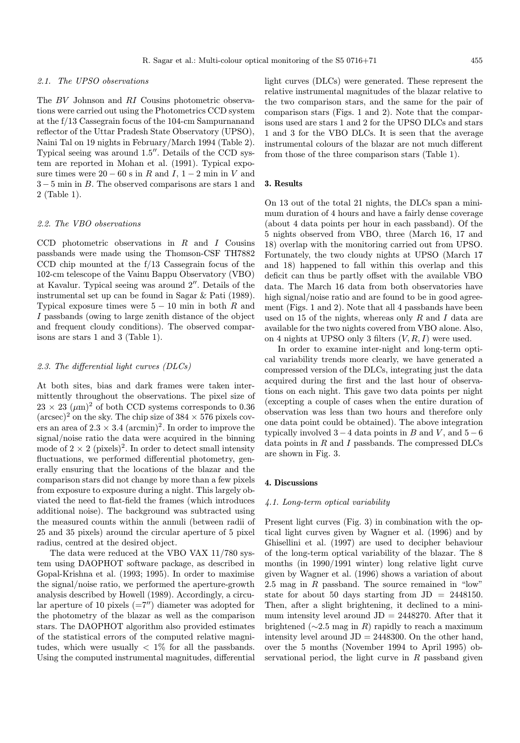#### 2.1. The UPSO observations

The BV Johnson and RI Cousins photometric observations were carried out using the Photometrics CCD system at the f/13 Cassegrain focus of the 104-cm Sampurnanand reflector of the Uttar Pradesh State Observatory (UPSO), Naini Tal on 19 nights in February/March 1994 (Table 2). Typical seeing was around  $1.5$ ". Details of the CCD system are reported in Mohan et al. (1991). Typical exposure times were  $20 - 60$  s in R and I,  $1 - 2$  min in V and 3 − 5 min in B. The observed comparisons are stars 1 and 2 (Table 1).

#### 2.2. The VBO observations

CCD photometric observations in  $R$  and  $I$  Cousins passbands were made using the Thomson-CSF TH7882 CCD chip mounted at the f/13 Cassegrain focus of the 102-cm telescope of the Vainu Bappu Observatory (VBO) at Kavalur. Typical seeing was around  $2^{\prime\prime}$ . Details of the instrumental set up can be found in Sagar & Pati (1989). Typical exposure times were  $5 - 10$  min in both R and I passbands (owing to large zenith distance of the object and frequent cloudy conditions). The observed comparisons are stars 1 and 3 (Table 1).

#### 2.3. The differential light curves (DLCs)

At both sites, bias and dark frames were taken intermittently throughout the observations. The pixel size of  $23 \times 23 \ (\mu m)^2$  of both CCD systems corresponds to 0.36  $(\text{arcsec})^2$  on the sky. The chip size of  $384 \times 576$  pixels covers an area of  $2.3 \times 3.4 \ (\text{arcmin})^2$ . In order to improve the signal/noise ratio the data were acquired in the binning mode of  $2 \times 2$  (pixels)<sup>2</sup>. In order to detect small intensity fluctuations, we performed differential photometry, generally ensuring that the locations of the blazar and the comparison stars did not change by more than a few pixels from exposure to exposure during a night. This largely obviated the need to flat-field the frames (which introduces additional noise). The background was subtracted using the measured counts within the annuli (between radii of 25 and 35 pixels) around the circular aperture of 5 pixel radius, centred at the desired object.

The data were reduced at the VBO VAX 11/780 system using DAOPHOT software package, as described in Gopal-Krishna et al. (1993; 1995). In order to maximise the signal/noise ratio, we performed the aperture-growth analysis described by Howell (1989). Accordingly, a circular aperture of 10 pixels  $(=7'')$  diameter was adopted for the photometry of the blazar as well as the comparison stars. The DAOPHOT algorithm also provided estimates of the statistical errors of the computed relative magnitudes, which were usually  $\langle 1\%$  for all the passbands. Using the computed instrumental magnitudes, differential light curves (DLCs) were generated. These represent the relative instrumental magnitudes of the blazar relative to the two comparison stars, and the same for the pair of comparison stars (Figs. 1 and 2). Note that the comparisons used are stars 1 and 2 for the UPSO DLCs and stars 1 and 3 for the VBO DLCs. It is seen that the average instrumental colours of the blazar are not much different from those of the three comparison stars (Table 1).

#### 3. Results

On 13 out of the total 21 nights, the DLCs span a minimum duration of 4 hours and have a fairly dense coverage (about 4 data points per hour in each passband). Of the 5 nights observed from VBO, three (March 16, 17 and 18) overlap with the monitoring carried out from UPSO. Fortunately, the two cloudy nights at UPSO (March 17 and 18) happened to fall within this overlap and this deficit can thus be partly offset with the available VBO data. The March 16 data from both observatories have high signal/noise ratio and are found to be in good agreement (Figs. 1 and 2). Note that all 4 passbands have been used on 15 of the nights, whereas only  $R$  and  $I$  data are available for the two nights covered from VBO alone. Also, on 4 nights at UPSO only 3 filters  $(V, R, I)$  were used.

In order to examine inter-night and long-term optical variability trends more clearly, we have generated a compressed version of the DLCs, integrating just the data acquired during the first and the last hour of observations on each night. This gave two data points per night (excepting a couple of cases when the entire duration of observation was less than two hours and therefore only one data point could be obtained). The above integration typically involved  $3 - 4$  data points in B and V, and  $5 - 6$ data points in  $R$  and  $I$  passbands. The compressed DLCs are shown in Fig. 3.

## 4. Discussions

## 4.1. Long-term optical variability

Present light curves (Fig. 3) in combination with the optical light curves given by Wagner et al. (1996) and by Ghisellini et al. (1997) are used to decipher behaviour of the long-term optical variability of the blazar. The 8 months (in 1990/1991 winter) long relative light curve given by Wagner et al. (1996) shows a variation of about 2.5 mag in R passband. The source remained in "low" state for about 50 days starting from  $JD = 2448150$ . Then, after a slight brightening, it declined to a minimum intensity level around  $JD = 2448270$ . After that it brightened ( $\sim$ 2.5 mag in R) rapidly to reach a maximum intensity level around  $JD = 2448300$ . On the other hand, over the 5 months (November 1994 to April 1995) observational period, the light curve in  $R$  passband given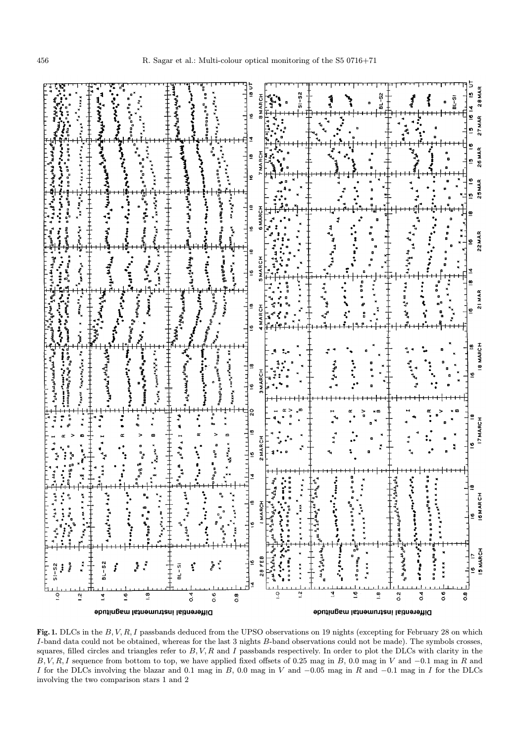

Fig. 1. DLCs in the  $B, V, R, I$  passbands deduced from the UPSO observations on 19 nights (excepting for February 28 on which I-band data could not be obtained, whereas for the last 3 nights B-band observations could not be made). The symbols crosses, squares, filled circles and triangles refer to  $B, V, R$  and I passbands respectively. In order to plot the DLCs with clarity in the  $B, V, R, I$  sequence from bottom to top, we have applied fixed offsets of 0.25 mag in B, 0.0 mag in V and  $-0.1$  mag in R and I for the DLCs involving the blazar and 0.1 mag in B, 0.0 mag in V and  $-0.05$  mag in R and  $-0.1$  mag in I for the DLCs involving the two comparison stars 1 and 2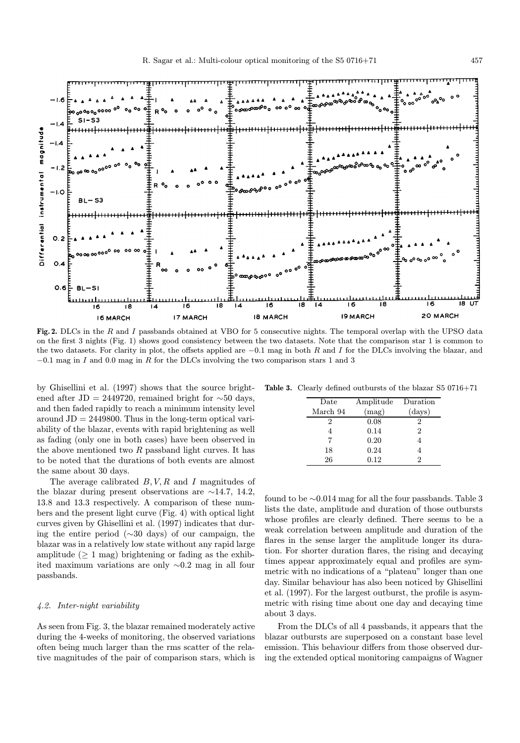

Fig. 2. DLCs in the R and I passbands obtained at VBO for 5 consecutive nights. The temporal overlap with the UPSO data on the first 3 nights (Fig. 1) shows good consistency between the two datasets. Note that the comparison star 1 is common to the two datasets. For clarity in plot, the offsets applied are  $-0.1$  mag in both R and I for the DLCs involving the blazar, and  $-0.1$  mag in I and 0.0 mag in R for the DLCs involving the two comparison stars 1 and 3

by Ghisellini et al. (1997) shows that the source brightened after JD = 2449720, remained bright for  $\sim$ 50 days, and then faded rapidly to reach a minimum intensity level around  $JD = 2449800$ . Thus in the long-term optical variability of the blazar, events with rapid brightening as well as fading (only one in both cases) have been observed in the above mentioned two  $R$  passband light curves. It has to be noted that the durations of both events are almost the same about 30 days.

The average calibrated  $B, V, R$  and I magnitudes of the blazar during present observations are ∼14.7, 14.2, 13.8 and 13.3 respectively. A comparison of these numbers and the present light curve (Fig. 4) with optical light curves given by Ghisellini et al. (1997) indicates that during the entire period (∼30 days) of our campaign, the blazar was in a relatively low state without any rapid large amplitude  $(\geq 1 \text{ mag})$  brightening or fading as the exhibited maximum variations are only ∼0.2 mag in all four passbands.

#### 4.2. Inter-night variability

As seen from Fig. 3, the blazar remained moderately active during the 4-weeks of monitoring, the observed variations often being much larger than the rms scatter of the relative magnitudes of the pair of comparison stars, which is

Table 3. Clearly defined outbursts of the blazar S5 0716+71

| Date     | Amplitude | Duration       |
|----------|-----------|----------------|
| March 94 | (mag)     | $\rm (days)$   |
| 2        | 0.08      | 2              |
|          | 0.14      | $\overline{2}$ |
|          | 0.20      |                |
| 18       | 0.24      |                |
| 26       | 0.12      | 2              |

found to be ∼0.014 mag for all the four passbands. Table 3 lists the date, amplitude and duration of those outbursts whose profiles are clearly defined. There seems to be a weak correlation between amplitude and duration of the flares in the sense larger the amplitude longer its duration. For shorter duration flares, the rising and decaying times appear approximately equal and profiles are symmetric with no indications of a "plateau" longer than one day. Similar behaviour has also been noticed by Ghisellini et al. (1997). For the largest outburst, the profile is asymmetric with rising time about one day and decaying time about 3 days.

From the DLCs of all 4 passbands, it appears that the blazar outbursts are superposed on a constant base level emission. This behaviour differs from those observed during the extended optical monitoring campaigns of Wagner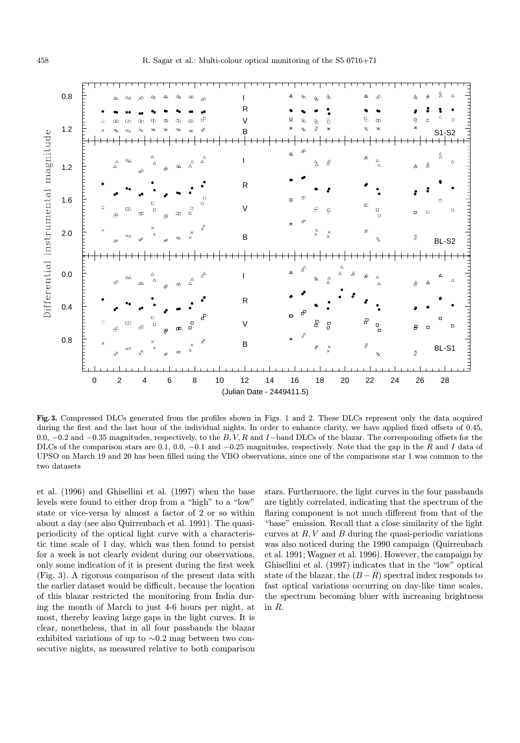

Fig. 3. Compressed DLCs generated from the profiles shown in Figs. 1 and 2. These DLCs represent only the data acquired during the first and the last hour of the individual nights. In order to enhance clarity, we have applied fixed offsets of 0.45, 0.0,  $-0.2$  and  $-0.35$  magnitudes, respectively, to the B,V,R and I-band DLCs of the blazar. The corresponding offsets for the DLCs of the comparison stars are 0.1, 0.0, −0.1 and −0.25 magnitudes, respectively. Note that the gap in the R and I data of UPSO on March 19 and 20 has been filled using the VBO observations, since one of the comparisons star 1 was common to the two datasets

et al. (1996) and Ghisellini et al. (1997) when the base levels were found to either drop from a "high" to a "low" state or vice-versa by almost a factor of 2 or so within about a day (see also Quirrenbach et al. 1991). The quasiperiodicity of the optical light curve with a characteristic time scale of 1 day, which was then found to persist for a week is not clearly evident during our observations, only some indication of it is present during the first week (Fig. 3). A rigorous comparison of the present data with the earlier dataset would be difficult, because the location of this blazar restricted the monitoring from India during the month of March to just 4-6 hours per night, at most, thereby leaving large gaps in the light curves. It is clear, nonetheless, that in all four passbands the blazar exhibited variations of up to ∼0.2 mag between two consecutive nights, as measured relative to both comparison stars. Furthermore, the light curves in the four passbands are tightly correlated, indicating that the spectrum of the flaring component is not much different from that of the "base" emission. Recall that a close similarity of the light curves at  $R, V$  and  $B$  during the quasi-periodic variations was also noticed during the 1990 campaign (Quirrenbach et al. 1991; Wagner et al. 1996). However, the campaign by Ghisellini et al. (1997) indicates that in the "low" optical state of the blazar, the  $(B - R)$  spectral index responds to fast optical variations occurring on day-like time scales, the spectrum becoming bluer with increasing brightness in R.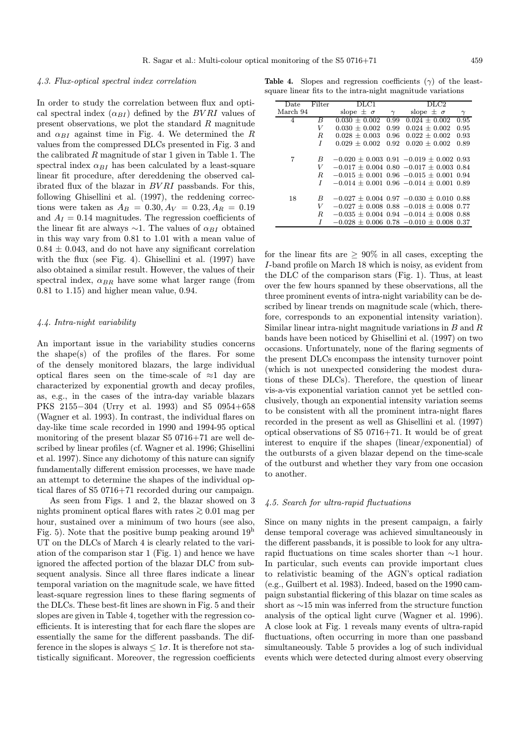#### 4.3. Flux-optical spectral index correlation

In order to study the correlation between flux and optical spectral index  $(\alpha_{BI})$  defined by the BVRI values of present observations, we plot the standard  $R$  magnitude and  $\alpha_{BI}$  against time in Fig. 4. We determined the R values from the compressed DLCs presented in Fig. 3 and the calibrated R magnitude of star 1 given in Table 1. The spectral index  $\alpha_{BI}$  has been calculated by a least-square linear fit procedure, after dereddening the observed calibrated flux of the blazar in BV RI passbands. For this, following Ghisellini et al. (1997), the reddening corrections were taken as  $A_B = 0.30, A_V = 0.23, A_R = 0.19$ and  $A_I = 0.14$  magnitudes. The regression coefficients of the linear fit are always  $\sim$ 1. The values of  $\alpha_{BI}$  obtained in this way vary from 0.81 to 1.01 with a mean value of  $0.84 \pm 0.043$ , and do not have any significant correlation with the flux (see Fig. 4). Ghisellini et al. (1997) have also obtained a similar result. However, the values of their spectral index,  $\alpha_{BR}$  have some what larger range (from 0.81 to 1.15) and higher mean value, 0.94.

## 4.4. Intra-night variability

An important issue in the variability studies concerns the shape(s) of the profiles of the flares. For some of the densely monitored blazars, the large individual optical flares seen on the time-scale of  $\approx$ 1 day are characterized by exponential growth and decay profiles, as, e.g., in the cases of the intra-day variable blazars PKS 2155−304 (Urry et al. 1993) and S5 0954+658 (Wagner et al. 1993). In contrast, the individual flares on day-like time scale recorded in 1990 and 1994-95 optical monitoring of the present blazar S5 0716+71 are well described by linear profiles (cf. Wagner et al. 1996; Ghisellini et al. 1997). Since any dichotomy of this nature can signify fundamentally different emission processes, we have made an attempt to determine the shapes of the individual optical flares of S5 0716+71 recorded during our campaign.

As seen from Figs. 1 and 2, the blazar showed on 3 nights prominent optical flares with rates  $\geq 0.01$  mag per hour, sustained over a minimum of two hours (see also, Fig. 5). Note that the positive bump peaking around  $19<sup>h</sup>$ UT on the DLCs of March 4 is clearly related to the variation of the comparison star 1 (Fig. 1) and hence we have ignored the affected portion of the blazar DLC from subsequent analysis. Since all three flares indicate a linear temporal variation on the magnitude scale, we have fitted least-square regression lines to these flaring segments of the DLCs. These best-fit lines are shown in Fig. 5 and their slopes are given in Table 4, together with the regression coefficients. It is interesting that for each flare the slopes are essentially the same for the different passbands. The difference in the slopes is always  $\leq 1\sigma$ . It is therefore not statistically significant. Moreover, the regression coefficients

Table 4. Slopes and regression coefficients  $(\gamma)$  of the leastsquare linear fits to the intra-night magnitude variations

| Date     | Filter | $_{\rm DLC1}$      |          | $_{\rm DLC2}$                                   |          |
|----------|--------|--------------------|----------|-------------------------------------------------|----------|
| March 94 |        | slope $\pm \sigma$ | $\gamma$ | slope $\pm \sigma$                              | $\gamma$ |
| 4        | B      | $0.030 + 0.002$    | 0.99     | $0.024 + 0.002$                                 | 0.95     |
|          | V      | $0.030 + 0.002$    | 0.99     | $0.024 + 0.002$                                 | 0.95     |
|          | R.     | $0.028 + 0.003$    | 0.96     | $0.022 + 0.002$                                 | 0.93     |
|          | I      | $0.029 + 0.002$    | 0.92     | $0.020 \pm 0.002$                               | 0.89     |
|          |        |                    |          |                                                 |          |
| 7        | B      |                    |          | $-0.020 \pm 0.003$ 0.91 $-0.019 \pm 0.002$ 0.93 |          |
|          | V      |                    |          | $-0.017 \pm 0.004$ 0.80 $-0.017 \pm 0.003$ 0.84 |          |
|          | R.     |                    |          | $-0.015 \pm 0.001$ 0.96 $-0.015 \pm 0.001$ 0.94 |          |
|          | I      |                    |          | $-0.014 \pm 0.001$ 0.96 $-0.014 \pm 0.001$ 0.89 |          |
|          |        |                    |          |                                                 |          |
| 18       | B      |                    |          | $-0.027 \pm 0.004$ 0.97 $-0.030 \pm 0.010$ 0.88 |          |
|          | V      |                    |          | $-0.027 \pm 0.008$ 0.88 $-0.018 \pm 0.008$ 0.77 |          |
|          | R.     |                    |          | $-0.035 + 0.004$ 0.94 $-0.014 + 0.008$ 0.88     |          |
|          |        |                    |          | $-0.028 \pm 0.006$ 0.78 $-0.010 \pm 0.008$ 0.37 |          |
|          |        |                    |          |                                                 |          |

for the linear fits are  $\geq 90\%$  in all cases, excepting the I-band profile on March 18 which is noisy, as evident from the DLC of the comparison stars (Fig. 1). Thus, at least over the few hours spanned by these observations, all the three prominent events of intra-night variability can be described by linear trends on magnitude scale (which, therefore, corresponds to an exponential intensity variation). Similar linear intra-night magnitude variations in  $B$  and  $R$ bands have been noticed by Ghisellini et al. (1997) on two occasions. Unfortunately, none of the flaring segments of the present DLCs encompass the intensity turnover point (which is not unexpected considering the modest durations of these DLCs). Therefore, the question of linear vis-a-vis exponential variation cannot yet be settled conclusively, though an exponential intensity variation seems to be consistent with all the prominent intra-night flares recorded in the present as well as Ghisellini et al. (1997) optical observations of S5 0716+71. It would be of great interest to enquire if the shapes (linear/exponential) of the outbursts of a given blazar depend on the time-scale of the outburst and whether they vary from one occasion to another.

## 4.5. Search for ultra-rapid fluctuations

Since on many nights in the present campaign, a fairly dense temporal coverage was achieved simultaneously in the different passbands, it is possible to look for any ultrarapid fluctuations on time scales shorter than ∼1 hour. In particular, such events can provide important clues to relativistic beaming of the AGN's optical radiation (e.g., Guilbert et al. 1983). Indeed, based on the 1990 campaign substantial flickering of this blazar on time scales as short as ∼15 min was inferred from the structure function analysis of the optical light curve (Wagner et al. 1996). A close look at Fig. 1 reveals many events of ultra-rapid fluctuations, often occurring in more than one passband simultaneously. Table 5 provides a log of such individual events which were detected during almost every observing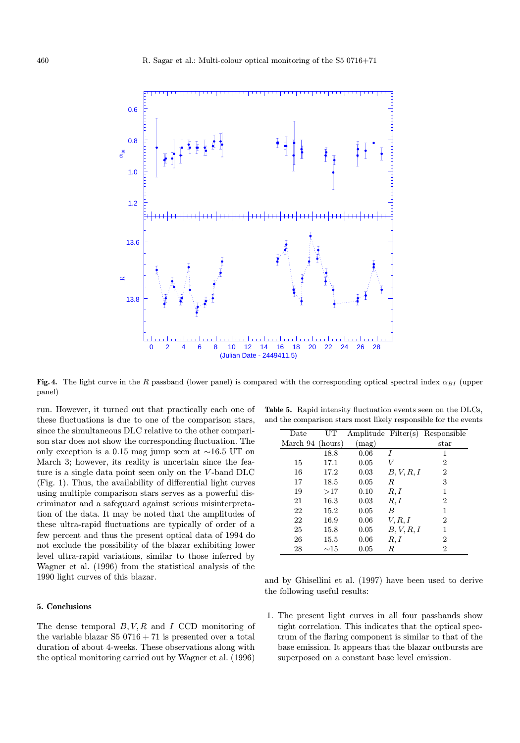

Fig. 4. The light curve in the R passband (lower panel) is compared with the corresponding optical spectral index  $\alpha_{BI}$  (upper panel)

run. However, it turned out that practically each one of these fluctuations is due to one of the comparison stars, since the simultaneous DLC relative to the other comparison star does not show the corresponding fluctuation. The only exception is a 0.15 mag jump seen at ∼16.5 UT on March 3; however, its reality is uncertain since the feature is a single data point seen only on the V -band DLC (Fig. 1). Thus, the availability of differential light curves using multiple comparison stars serves as a powerful discriminator and a safeguard against serious misinterpretation of the data. It may be noted that the amplitudes of these ultra-rapid fluctuations are typically of order of a few percent and thus the present optical data of 1994 do not exclude the possibility of the blazar exhibiting lower level ultra-rapid variations, similar to those inferred by Wagner et al. (1996) from the statistical analysis of the 1990 light curves of this blazar.

## 5. Conclusions

The dense temporal  $B, V, R$  and  $I$  CCD monitoring of the variable blazar  $S5 0716 + 71$  is presented over a total duration of about 4-weeks. These observations along with the optical monitoring carried out by Wagner et al. (1996)

Table 5. Rapid intensity fluctuation events seen on the DLCs, and the comparison stars most likely responsible for the events

| Date             | UΤ           | Amplitude Filter(s) |            | Responsible    |
|------------------|--------------|---------------------|------------|----------------|
| March 94 (hours) |              | (mag)               |            | $_{\rm star}$  |
|                  | 18.8         | 0.06                |            | 1              |
| 15               | 17.1         | 0.05                | V          | 2              |
| 16               | 17.2         | 0.03                | B, V, R, I | 2              |
| 17               | 18.5         | 0.05                | $_{R}$     | 3              |
| 19               | >17          | 0.10                | R, I       | 1              |
| 21               | 16.3         | 0.03                | R, I       | 2              |
| 22               | 15.2         | 0.05                | B          | 1              |
| 22               | 16.9         | 0.06                | V, R, I    | 2              |
| 25               | 15.8         | 0.05                | B, V, R, I | 1              |
| 26               | 15.5         | 0.06                | R, I       | 2              |
| 28               | $\sim\!\!15$ | 0.05                | R          | $\overline{2}$ |

and by Ghisellini et al. (1997) have been used to derive the following useful results:

1. The present light curves in all four passbands show tight correlation. This indicates that the optical spectrum of the flaring component is similar to that of the base emission. It appears that the blazar outbursts are superposed on a constant base level emission.